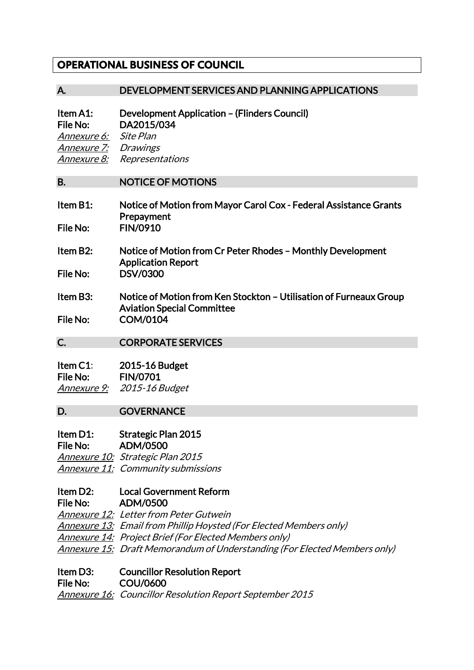# **OPERATIONAL BUSINESS OF COUNCIL**

#### A. DEVELOPMENT SERVICES AND PLANNING APPLICATIONS

Item A1: Development Application – (Flinders Council) File No: DA2015/034 Annexure 6: Site Plan Annexure 7: Drawings Annexure 8: Representations

#### B. NOTICE OF MOTIONS

| Item B1: | Notice of Motion from Mayor Carol Cox - Federal Assistance Grants |  |
|----------|-------------------------------------------------------------------|--|
|          | Prepayment                                                        |  |
| File No: | <b>FIN/0910</b>                                                   |  |

- Item B2: Notice of Motion from Cr Peter Rhodes Monthly Development Application Report File No: DSV/0300
- Item B3: Notice of Motion from Ken Stockton Utilisation of Furneaux Group Aviation Special Committee File No: COM/0104
- 

#### C. CORPORATE SERVICES

| Item $C1$ :     | 2015-16 Budget        |
|-----------------|-----------------------|
| <b>File No:</b> | <b>FIN/0701</b>       |
| Annexure 9:     | <i>2015-16 Budget</i> |

### D. **GOVERNANCE**

#### Item D1: Strategic Plan 2015 File No: ADM/0500

Annexure 10: Strategic Plan 2015 Annexure 11: Community submissions

# Item D2: Local Government Reform

File No: ADM/0500 Annexure 12: Letter from Peter Gutwein

Annexure 13: Email from Phillip Hoysted (For Elected Members only) Annexure 14: Project Brief (For Elected Members only) Annexure 15: Draft Memorandum of Understanding (For Elected Members only)

### Item D3: Councillor Resolution Report

File No: COU/0600

Annexure 16: Councillor Resolution Report September 2015